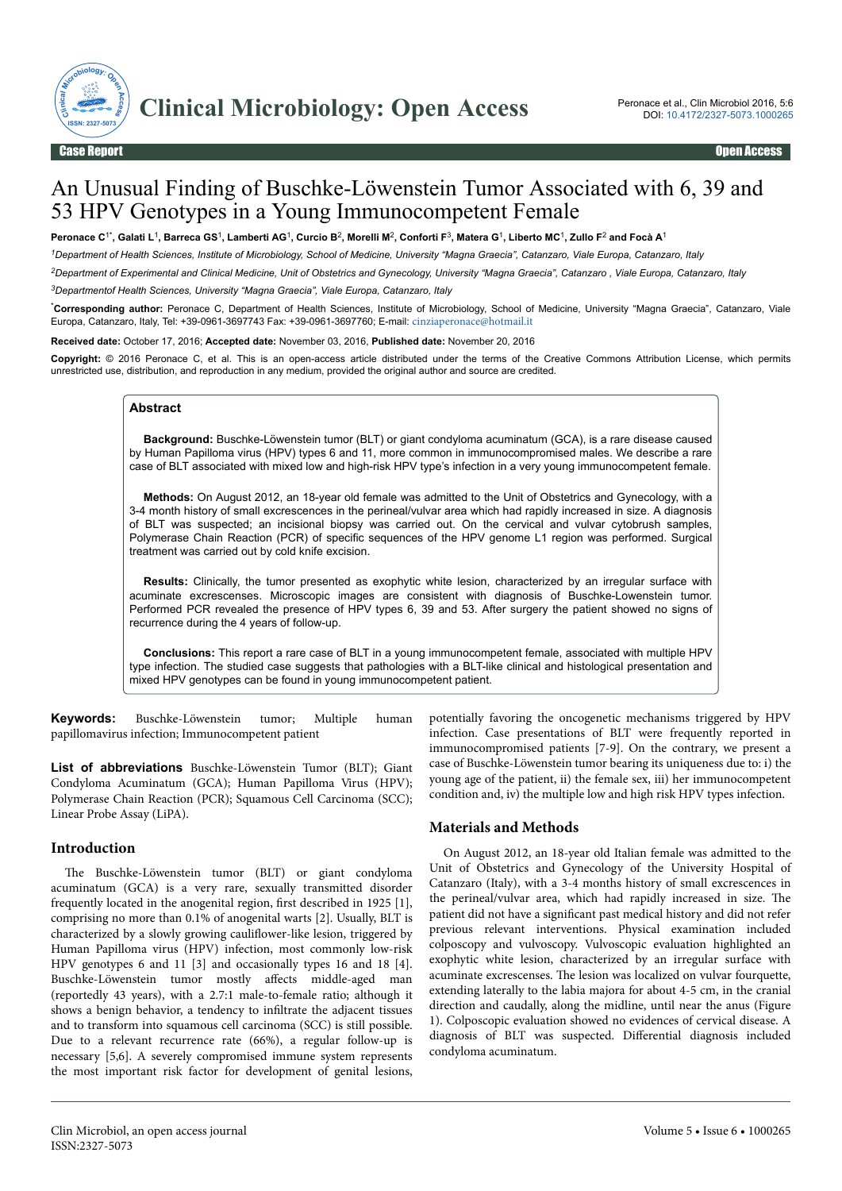

# An Unusual Finding of Buschke-Löwenstein Tumor Associated with 6, 39 and 53 HPV Genotypes in a Young Immunocompetent Female

**Peronace C**1\***, Galati L**<sup>1</sup> **, Barreca GS**<sup>1</sup> **, Lamberti AG**<sup>1</sup> **, Curcio B**<sup>2</sup> **, Morelli M**<sup>2</sup> **, Conforti F**<sup>3</sup> **, Matera G**<sup>1</sup> **, Liberto MC**<sup>1</sup> **, Zullo F**<sup>2</sup>  **and Focà A**<sup>1</sup>

*<sup>1</sup>Department of Health Sciences, Institute of Microbiology, School of Medicine, University "Magna Graecia", Catanzaro, Viale Europa, Catanzaro, Italy*

*<sup>2</sup>Department of Experimental and Clinical Medicine, Unit of Obstetrics and Gynecology, University "Magna Graecia", Catanzaro , Viale Europa, Catanzaro, Italy*

*<sup>3</sup>Departmentof Health Sciences, University "Magna Graecia", Viale Europa, Catanzaro, Italy*

\***Corresponding author:** Peronace C, Department of Health Sciences, Institute of Microbiology, School of Medicine, University "Magna Graecia", Catanzaro, Viale Europa, Catanzaro, Italy, Tel: +39-0961-3697743 Fax: +39-0961-3697760; E-mail: [cinziaperonace@hotmail.it](mailto:cinziaperonace@hotmail.it)

**Received date:** October 17, 2016; **Accepted date:** November 03, 2016, **Published date:** November 20, 2016

**Copyright:** © 2016 Peronace C, et al. This is an open-access article distributed under the terms of the Creative Commons Attribution License, which permits unrestricted use, distribution, and reproduction in any medium, provided the original author and source are credited.

#### **Abstract**

**Background:** Buschke-Löwenstein tumor (BLT) or giant condyloma acuminatum (GCA), is a rare disease caused by Human Papilloma virus (HPV) types 6 and 11, more common in immunocompromised males. We describe a rare case of BLT associated with mixed low and high-risk HPV type's infection in a very young immunocompetent female.

**Methods:** On August 2012, an 18-year old female was admitted to the Unit of Obstetrics and Gynecology, with a 3-4 month history of small excrescences in the perineal/vulvar area which had rapidly increased in size. A diagnosis of BLT was suspected; an incisional biopsy was carried out. On the cervical and vulvar cytobrush samples, Polymerase Chain Reaction (PCR) of specific sequences of the HPV genome L1 region was performed. Surgical treatment was carried out by cold knife excision.

**Results:** Clinically, the tumor presented as exophytic white lesion, characterized by an irregular surface with acuminate excrescenses. Microscopic images are consistent with diagnosis of Buschke-Lowenstein tumor. Performed PCR revealed the presence of HPV types 6, 39 and 53. After surgery the patient showed no signs of recurrence during the 4 years of follow-up.

**Conclusions:** This report a rare case of BLT in a young immunocompetent female, associated with multiple HPV type infection. The studied case suggests that pathologies with a BLT-like clinical and histological presentation and mixed HPV genotypes can be found in young immunocompetent patient.

**Keywords:** Buschke-Löwenstein tumor; Multiple human papillomavirus infection; Immunocompetent patient

**List of abbreviations** Buschke-Löwenstein Tumor (BLT); Giant Condyloma Acuminatum (GCA); Human Papilloma Virus (HPV); Polymerase Chain Reaction (PCR); Squamous Cell Carcinoma (SCC); Linear Probe Assay (LiPA).

## **Introduction**

The Buschke-Löwenstein tumor (BLT) or giant condyloma acuminatum (GCA) is a very rare, sexually transmitted disorder frequently located in the anogenital region, first described in 1925 [1], comprising no more than 0.1% of anogenital warts [2]. Usually, BLT is characterized by a slowly growing cauliflower-like lesion, triggered by Human Papilloma virus (HPV) infection, most commonly low-risk HPV genotypes 6 and 11 [3] and occasionally types 16 and 18 [4]. Buschke-Löwenstein tumor mostly affects middle-aged man (reportedly 43 years), with a 2.7:1 male-to-female ratio; although it shows a benign behavior, a tendency to infiltrate the adjacent tissues and to transform into squamous cell carcinoma (SCC) is still possible. Due to a relevant recurrence rate (66%), a regular follow-up is necessary [5,6]. A severely compromised immune system represents the most important risk factor for development of genital lesions,

potentially favoring the oncogenetic mechanisms triggered by HPV infection. Case presentations of BLT were frequently reported in immunocompromised patients [7-9]. On the contrary, we present a case of Buschke-Löwenstein tumor bearing its uniqueness due to: i) the young age of the patient, ii) the female sex, iii) her immunocompetent condition and, iv) the multiple low and high risk HPV types infection.

# **Materials and Methods**

On August 2012, an 18-year old Italian female was admitted to the Unit of Obstetrics and Gynecology of the University Hospital of Catanzaro (Italy), with a 3-4 months history of small excrescences in the perineal/vulvar area, which had rapidly increased in size. Нe patient did not have a significant past medical history and did not refer previous relevant interventions. Physical examination included colposcopy and vulvoscopy. Vulvoscopic evaluation highlighted an exophytic white lesion, characterized by an irregular surface with acuminate excrescenses. Нe lesion was localized on vulvar fourquette, extending laterally to the labia majora for about 4-5 cm, in the cranial direction and caudally, along the midline, until near the anus (Figure 1). Colposcopic evaluation showed no evidences of cervical disease. A diagnosis of BLT was suspected. Differential diagnosis included condyloma acuminatum.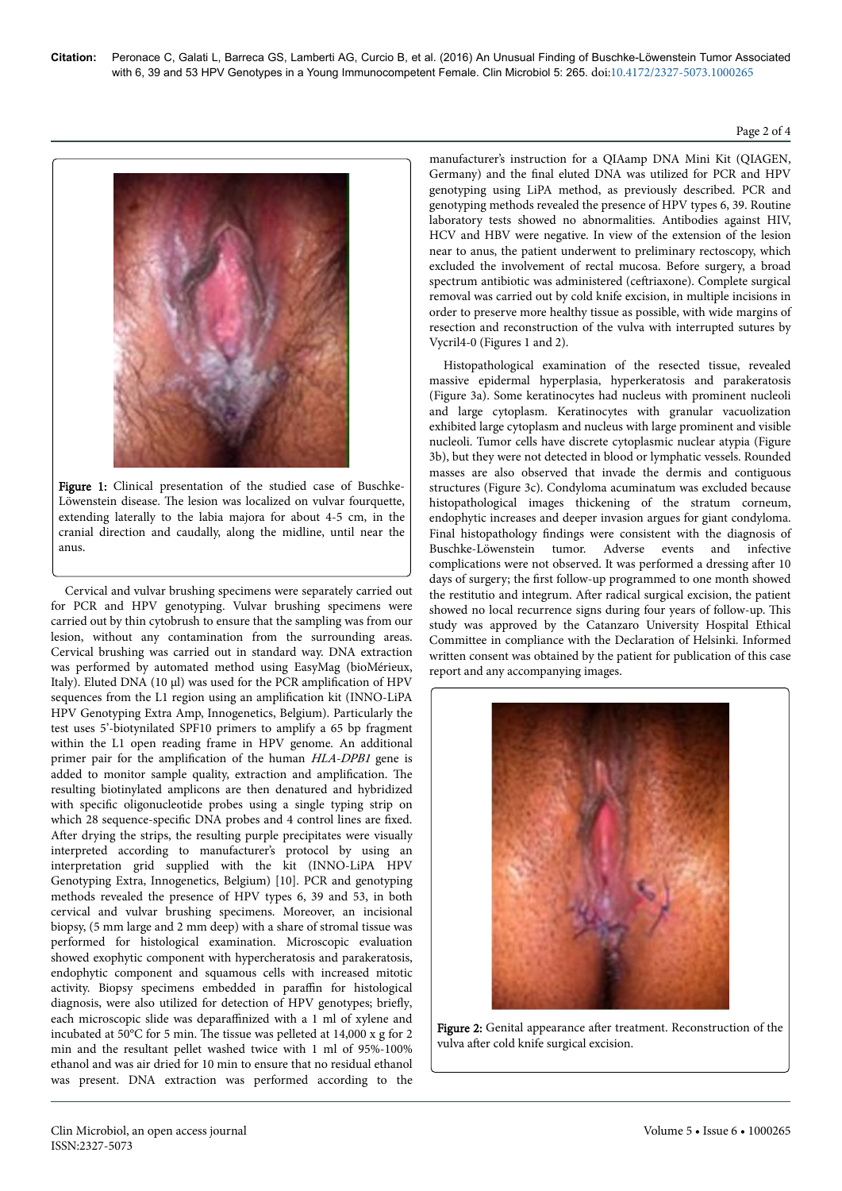#### Page 2 of 4



Figure 1: Clinical presentation of the studied case of Buschke-Löwenstein disease. Нe lesion was localized on vulvar fourquette, extending laterally to the labia majora for about 4-5 cm, in the cranial direction and caudally, along the midline, until near the anus.

Cervical and vulvar brushing specimens were separately carried out for PCR and HPV genotyping. Vulvar brushing specimens were carried out by thin cytobrush to ensure that the sampling was from our lesion, without any contamination from the surrounding areas. Cervical brushing was carried out in standard way. DNA extraction was performed by automated method using EasyMag (bioMérieux, Italy). Eluted DNA (10  $\mu$ l) was used for the PCR amplification of HPV sequences from the L1 region using an amplification kit (INNO-LiPA HPV Genotyping Extra Amp, Innogenetics, Belgium). Particularly the test uses 5'-biotynilated SPF10 primers to amplify a 65 bp fragment within the L1 open reading frame in HPV genome. An additional primer pair for the amplification of the human HLA-DPB1 gene is added to monitor sample quality, extraction and amplification. The resulting biotinylated amplicons are then denatured and hybridized with specific oligonucleotide probes using a single typing strip on which 28 sequence-specific DNA probes and 4 control lines are fixed. After drying the strips, the resulting purple precipitates were visually interpreted according to manufacturer's protocol by using an interpretation grid supplied with the kit (INNO-LiPA HPV Genotyping Extra, Innogenetics, Belgium) [10]. PCR and genotyping methods revealed the presence of HPV types 6, 39 and 53, in both cervical and vulvar brushing specimens. Moreover, an incisional biopsy, (5 mm large and 2 mm deep) with a share of stromal tissue was performed for histological examination. Microscopic evaluation showed exophytic component with hypercheratosis and parakeratosis, endophytic component and squamous cells with increased mitotic activity. Biopsy specimens embedded in paraffin for histological diagnosis, were also utilized for detection of HPV genotypes; briefly, each microscopic slide was deparaffinized with a 1 ml of xylene and incubated at 50°C for 5 min. Нe tissue was pelleted at 14,000 x g for 2 min and the resultant pellet washed twice with 1 ml of 95%-100% ethanol and was air dried for 10 min to ensure that no residual ethanol was present. DNA extraction was performed according to the

manufacturer's instruction for a QIAamp DNA Mini Kit (QIAGEN, Germany) and the final eluted DNA was utilized for PCR and HPV genotyping using LiPA method, as previously described. PCR and genotyping methods revealed the presence of HPV types 6, 39. Routine laboratory tests showed no abnormalities. Antibodies against HIV, HCV and HBV were negative. In view of the extension of the lesion near to anus, the patient underwent to preliminary rectoscopy, which excluded the involvement of rectal mucosa. Before surgery, a broad spectrum antibiotic was administered (ceftriaxone). Complete surgical removal was carried out by cold knife excision, in multiple incisions in order to preserve more healthy tissue as possible, with wide margins of resection and reconstruction of the vulva with interrupted sutures by Vycril4-0 (Figures 1 and 2).

Histopathological examination of the resected tissue, revealed massive epidermal hyperplasia, hyperkeratosis and parakeratosis (Figure 3a). Some keratinocytes had nucleus with prominent nucleoli and large cytoplasm. Keratinocytes with granular vacuolization exhibited large cytoplasm and nucleus with large prominent and visible nucleoli. Tumor cells have discrete cytoplasmic nuclear atypia (Figure 3b), but they were not detected in blood or lymphatic vessels. Rounded masses are also observed that invade the dermis and contiguous structures (Figure 3c). Condyloma acuminatum was excluded because histopathological images thickening of the stratum corneum, endophytic increases and deeper invasion argues for giant condyloma. Final histopathology findings were consistent with the diagnosis of Buschke-Löwenstein tumor. Adverse events and infective Adverse events and complications were not observed. It was performed a dressing after 10 days of surgery; the first follow-up programmed to one month showed the restitutio and integrum. After radical surgical excision, the patient showed no local recurrence signs during four years of follow-up. This study was approved by the Catanzaro University Hospital Ethical Committee in compliance with the Declaration of Helsinki. Informed written consent was obtained by the patient for publication of this case report and any accompanying images.



Figure 2: Genital appearance after treatment. Reconstruction of the vulva after cold knife surgical excision.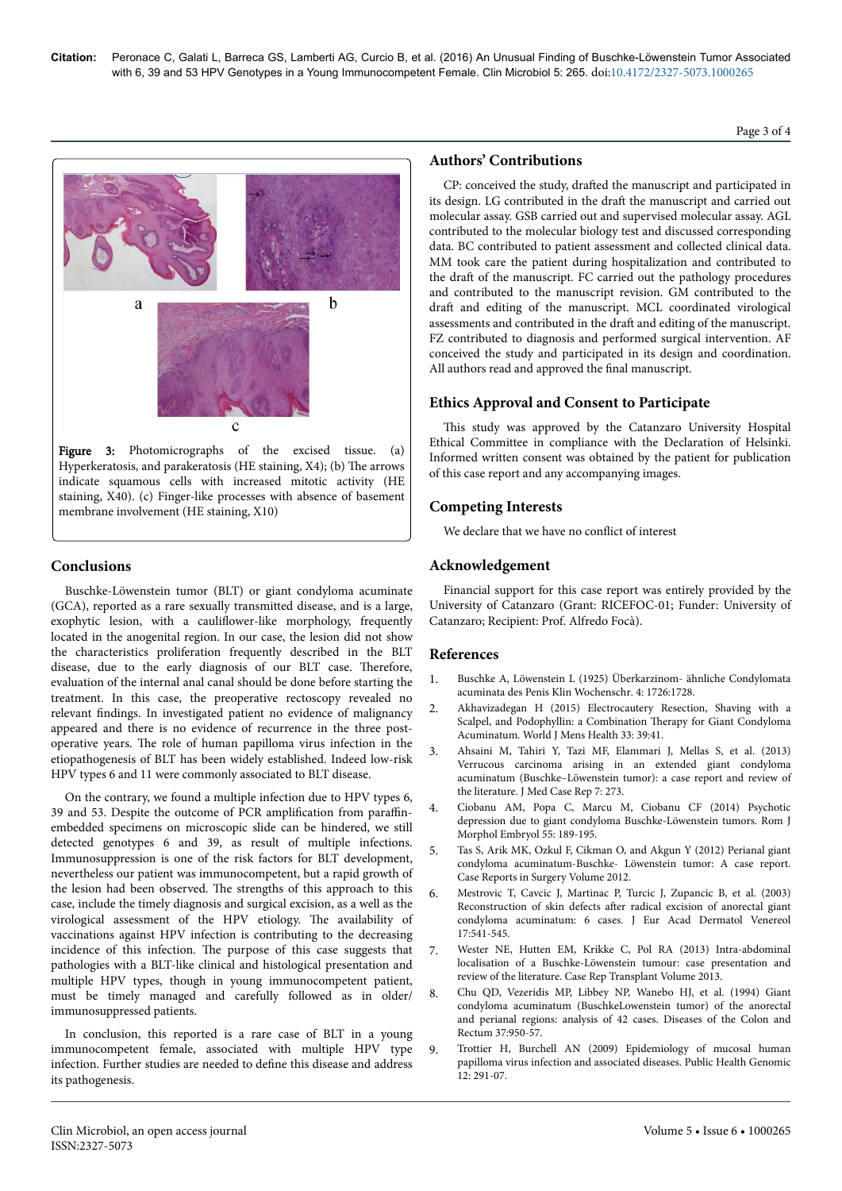Page 3 of 4



Hyperkeratosis, and parakeratosis (HE staining, X4); (b) The arrows indicate squamous cells with increased mitotic activity (HE staining, X40). (c) Finger-like processes with absence of basement membrane involvement (HE staining, X10)

## **Conclusions**

Buschke-Löwenstein tumor (BLT) or giant condyloma acuminate (GCA), reported as a rare sexually transmitted disease, and is a large, exophytic lesion, with a cauliflower-like morphology, frequently located in the anogenital region. In our case, the lesion did not show the characteristics proliferation frequently described in the BLT disease, due to the early diagnosis of our BLT case. Нerefore, evaluation of the internal anal canal should be done before starting the treatment. In this case, the preoperative rectoscopy revealed no relevant findings. In investigated patient no evidence of malignancy appeared and there is no evidence of recurrence in the three postoperative years. Нe role of human papilloma virus infection in the etiopathogenesis of BLT has been widely established. Indeed low-risk HPV types 6 and 11 were commonly associated to BLT disease.

On the contrary, we found a multiple infection due to HPV types 6, 39 and 53. Despite the outcome of PCR amplification from paraffinembedded specimens on microscopic slide can be hindered, we still detected genotypes 6 and 39, as result of multiple infections. Immunosuppression is one of the risk factors for BLT development, nevertheless our patient was immunocompetent, but a rapid growth of the lesion had been observed. Нe strengths of this approach to this case, include the timely diagnosis and surgical excision, as a well as the virological assessment of the HPV etiology. Нe availability of vaccinations against HPV infection is contributing to the decreasing incidence of this infection. Нe purpose of this case suggests that pathologies with a BLT-like clinical and histological presentation and multiple HPV types, though in young immunocompetent patient, must be timely managed and carefully followed as in older/ immunosuppressed patients.

In conclusion, this reported is a rare case of BLT in a young immunocompetent female, associated with multiple HPV type infection. Further studies are needed to define this disease and address its pathogenesis.

## **Authors' Contributions**

CP: conceived the study, drafted the manuscript and participated in its design. LG contributed in the draft the manuscript and carried out molecular assay. GSB carried out and supervised molecular assay. AGL contributed to the molecular biology test and discussed corresponding data. BC contributed to patient assessment and collected clinical data. MM took care the patient during hospitalization and contributed to the draft of the manuscript. FC carried out the pathology procedures and contributed to the manuscript revision. GM contributed to the draft and editing of the manuscript. MCL coordinated virological assessments and contributed in the draft and editing of the manuscript. FZ contributed to diagnosis and performed surgical intervention. AF conceived the study and participated in its design and coordination. All authors read and approved the final manuscript.

# **Ethics Approval and Consent to Participate**

This study was approved by the Catanzaro University Hospital Ethical Committee in compliance with the Declaration of Helsinki. Informed written consent was obtained by the patient for publication of this case report and any accompanying images.

# **Competing Interests**

We declare that we have no conflict of interest

# **Acknowledgement**

Financial support for this case report was entirely provided by the University of Catanzaro (Grant: RICEFOC-01; Funder: University of Catanzaro; Recipient: Prof. Alfredo Focà).

## **References**

- 1. Buschke A, Löwenstein L (1925) Überkarzinom- ähnliche Condylomata acuminata des Penis Klin Wochenschr. 4: 1726:1728.
- 2. [Akhavizadegan H \(2015\) Electrocautery Resection, Shaving with a](https://dx.doi.org/10.5534%2Fwjmh.2015.33.1.39) [Scalpel, and Podophyllin: a Combination](https://dx.doi.org/10.5534%2Fwjmh.2015.33.1.39) Нerapy for Giant Condyloma [Acuminatum. World J Mens Health 33: 39:41.](https://dx.doi.org/10.5534%2Fwjmh.2015.33.1.39)
- 3. [Ahsaini M, Tahiri Y, Tazi MF, Elammari J, Mellas S, et al. \(2013\)](http://link.springer.com/article/10.1186/1752-1947-7-273?view=classic) [Verrucous carcinoma arising in an extended giant condyloma](http://link.springer.com/article/10.1186/1752-1947-7-273?view=classic) [acuminatum \(Buschke–Löwenstein tumor\): a case report and review of](http://link.springer.com/article/10.1186/1752-1947-7-273?view=classic) [the literature. J Med Case Rep 7: 273.](http://link.springer.com/article/10.1186/1752-1947-7-273?view=classic)
- 4. Ciobanu AM, Popa C, Marcu M, Ciobanu CF (2014) Psychotic depression due to giant condyloma Buschke-Löwenstein tumors. Rom J Morphol Embryol 55: 189-195.
- 5. Tas S, Arik MK, Ozkul F, Cikman O, and Akgun Y (2012) Perianal giant condyloma acuminatum-Buschke- Löwenstein tumor: A case report. Case Reports in Surgery Volume 2012.
- 6. Mestrovic T, Cavcic J, Martinac P, Turcic J, Zupancic B, et al. (2003) Reconstruction of skin defects after radical excision of anorectal giant condyloma acuminatum: 6 cases. J Eur Acad Dermatol Venereol 17:541-545.
- 7. [Wester NE, Hutten EM, Krikke C, Pol RA \(2013\) Intra-abdominal](https://core.ac.uk/display/27637118) [localisation of a Buschke-Löwenstein tumour: case presentation and](https://core.ac.uk/display/27637118) [review of the literature. Case Rep Transplant Volume 2013.](https://core.ac.uk/display/27637118)
- 8. [Chu QD, Vezeridis MP, Libbey NP, Wanebo HJ, et al. \(1994\) Giant](https://vivo.brown.edu/display/n84512) [condyloma acuminatum \(BuschkeLowenstein tumor\) of the anorectal](https://vivo.brown.edu/display/n84512) [and perianal regions: analysis of 42 cases. Diseases of the Colon and](https://vivo.brown.edu/display/n84512) [Rectum 37:950-57.](https://vivo.brown.edu/display/n84512)
- 9. [Trottier H, Burchell AN \(2009\) Epidemiology of mucosal human](http://www.karger.com/Article/PDF/214920) [papilloma virus infection and associated diseases. Public Health Genomic](http://www.karger.com/Article/PDF/214920) [12: 291-07.](http://www.karger.com/Article/PDF/214920)